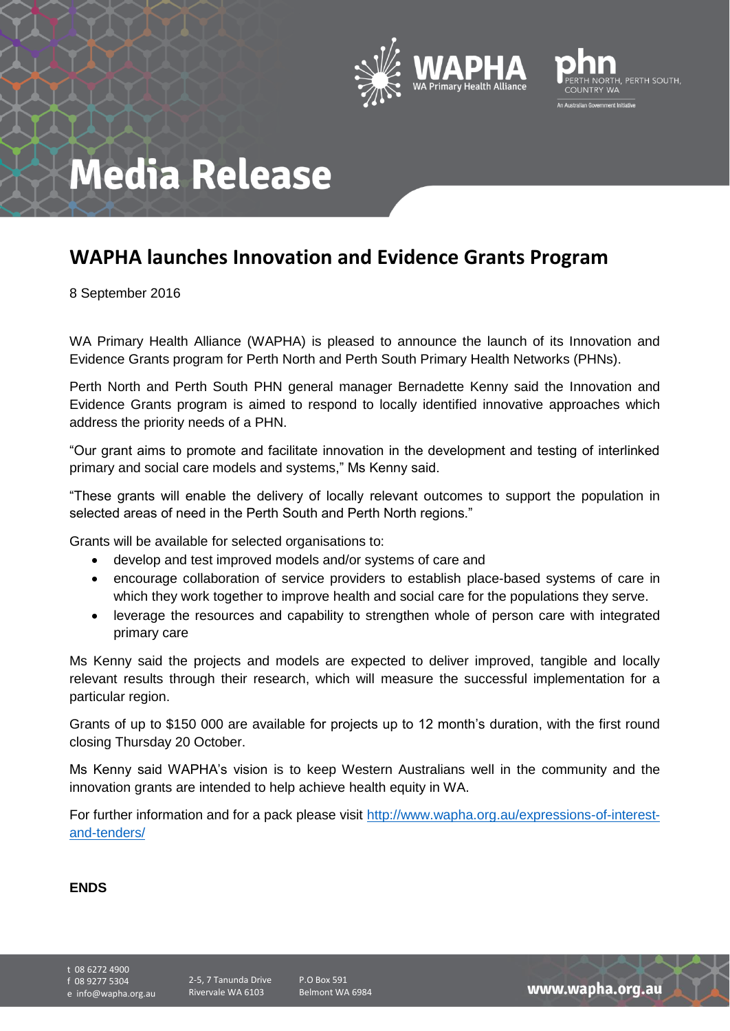



## **Media Release**

## **WAPHA launches Innovation and Evidence Grants Program**

8 September 2016

WA Primary Health Alliance (WAPHA) is pleased to announce the launch of its Innovation and Evidence Grants program for Perth North and Perth South Primary Health Networks (PHNs).

Perth North and Perth South PHN general manager Bernadette Kenny said the Innovation and Evidence Grants program is aimed to respond to locally identified innovative approaches which address the priority needs of a PHN.

"Our grant aims to promote and facilitate innovation in the development and testing of interlinked primary and social care models and systems," Ms Kenny said.

"These grants will enable the delivery of locally relevant outcomes to support the population in selected areas of need in the Perth South and Perth North regions."

Grants will be available for selected organisations to:

- develop and test improved models and/or systems of care and
- encourage collaboration of service providers to establish place-based systems of care in which they work together to improve health and social care for the populations they serve.
- leverage the resources and capability to strengthen whole of person care with integrated primary care

Ms Kenny said the projects and models are expected to deliver improved, tangible and locally relevant results through their research, which will measure the successful implementation for a particular region.

Grants of up to \$150 000 are available for projects up to 12 month's duration, with the first round closing Thursday 20 October.

Ms Kenny said WAPHA's vision is to keep Western Australians well in the community and the innovation grants are intended to help achieve health equity in WA.

For further information and for a pack please visit [http://www.wapha.org.au/expressions-of-interest](http://www.wapha.org.au/expressions-of-interest-and-tenders/)[and-tenders/](http://www.wapha.org.au/expressions-of-interest-and-tenders/)

## **ENDS**

t 08 6272 4900 f 08 9277 5304

e info@wapha.org.au

www.wapha.org.au